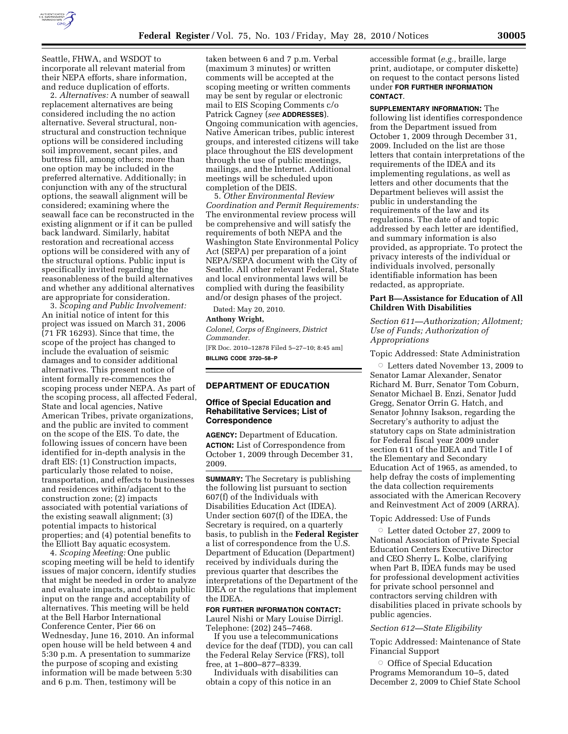

Seattle, FHWA, and WSDOT to incorporate all relevant material from their NEPA efforts, share information, and reduce duplication of efforts.

2. *Alternatives:* A number of seawall replacement alternatives are being considered including the no action alternative. Several structural, nonstructural and construction technique options will be considered including soil improvement, secant piles, and buttress fill, among others; more than one option may be included in the preferred alternative. Additionally; in conjunction with any of the structural options, the seawall alignment will be considered; examining where the seawall face can be reconstructed in the existing alignment or if it can be pulled back landward. Similarly, habitat restoration and recreational access options will be considered with any of the structural options. Public input is specifically invited regarding the reasonableness of the build alternatives and whether any additional alternatives are appropriate for consideration.

3. *Scoping and Public Involvement:*  An initial notice of intent for this project was issued on March 31, 2006 (71 FR 16293). Since that time, the scope of the project has changed to include the evaluation of seismic damages and to consider additional alternatives. This present notice of intent formally re-commences the scoping process under NEPA. As part of the scoping process, all affected Federal, State and local agencies, Native American Tribes, private organizations, and the public are invited to comment on the scope of the EIS. To date, the following issues of concern have been identified for in-depth analysis in the draft EIS: (1) Construction impacts, particularly those related to noise, transportation, and effects to businesses and residences within/adjacent to the construction zone; (2) impacts associated with potential variations of the existing seawall alignment; (3) potential impacts to historical properties; and (4) potential benefits to the Elliott Bay aquatic ecosystem.

4. *Scoping Meeting:* One public scoping meeting will be held to identify issues of major concern, identify studies that might be needed in order to analyze and evaluate impacts, and obtain public input on the range and acceptability of alternatives. This meeting will be held at the Bell Harbor International Conference Center, Pier 66 on Wednesday, June 16, 2010. An informal open house will be held between 4 and 5:30 p.m. A presentation to summarize the purpose of scoping and existing information will be made between 5:30 and 6 p.m. Then, testimony will be

taken between 6 and 7 p.m. Verbal (maximum 3 minutes) or written comments will be accepted at the scoping meeting or written comments may be sent by regular or electronic mail to EIS Scoping Comments c/o Patrick Cagney (*see* **ADDRESSES**). Ongoing communication with agencies, Native American tribes, public interest groups, and interested citizens will take place throughout the EIS development through the use of public meetings, mailings, and the Internet. Additional meetings will be scheduled upon completion of the DEIS.

5. *Other Environmental Review Coordination and Permit Requirements:*  The environmental review process will be comprehensive and will satisfy the requirements of both NEPA and the Washington State Environmental Policy Act (SEPA) per preparation of a joint NEPA/SEPA document with the City of Seattle. All other relevant Federal, State and local environmental laws will be complied with during the feasibility and/or design phases of the project.

Dated: May 20, 2010. **Anthony Wright,**  *Colonel, Corps of Engineers, District Commander.*  [FR Doc. 2010–12878 Filed 5–27–10; 8:45 am] **BILLING CODE 3720–58–P** 

# **DEPARTMENT OF EDUCATION**

### **Office of Special Education and Rehabilitative Services; List of Correspondence**

**AGENCY:** Department of Education. **ACTION:** List of Correspondence from October 1, 2009 through December 31, 2009.

**SUMMARY:** The Secretary is publishing the following list pursuant to section 607(f) of the Individuals with Disabilities Education Act (IDEA). Under section 607(f) of the IDEA, the Secretary is required, on a quarterly basis, to publish in the **Federal Register**  a list of correspondence from the U.S. Department of Education (Department) received by individuals during the previous quarter that describes the interpretations of the Department of the IDEA or the regulations that implement the IDEA.

#### **FOR FURTHER INFORMATION CONTACT:**  Laurel Nishi or Mary Louise Dirrigl. Telephone: (202) 245–7468.

If you use a telecommunications device for the deaf (TDD), you can call the Federal Relay Service (FRS), toll free, at 1–800–877–8339.

Individuals with disabilities can obtain a copy of this notice in an

accessible format (*e.g.,* braille, large print, audiotape, or computer diskette) on request to the contact persons listed under **FOR FURTHER INFORMATION CONTACT**.

**SUPPLEMENTARY INFORMATION:** The following list identifies correspondence from the Department issued from October 1, 2009 through December 31, 2009. Included on the list are those letters that contain interpretations of the requirements of the IDEA and its implementing regulations, as well as letters and other documents that the Department believes will assist the public in understanding the requirements of the law and its regulations. The date of and topic addressed by each letter are identified, and summary information is also provided, as appropriate. To protect the privacy interests of the individual or individuals involved, personally identifiable information has been redacted, as appropriate.

#### **Part B—Assistance for Education of All Children With Disabilities**

*Section 611—Authorization; Allotment; Use of Funds; Authorization of Appropriations* 

Topic Addressed: State Administration

 $\circ$  Letters dated November 13, 2009 to Senator Lamar Alexander, Senator Richard M. Burr, Senator Tom Coburn, Senator Michael B. Enzi, Senator Judd Gregg, Senator Orrin G. Hatch, and Senator Johnny Isakson, regarding the Secretary's authority to adjust the statutory caps on State administration for Federal fiscal year 2009 under section 611 of the IDEA and Title I of the Elementary and Secondary Education Act of 1965, as amended, to help defray the costs of implementing the data collection requirements associated with the American Recovery and Reinvestment Act of 2009 (ARRA).

# Topic Addressed: Use of Funds

 $\circ$  Letter dated October 27, 2009 to National Association of Private Special Education Centers Executive Director and CEO Sherry L. Kolbe, clarifying when Part B, IDEA funds may be used for professional development activities for private school personnel and contractors serving children with disabilities placed in private schools by public agencies.

#### *Section 612—State Eligibility*

Topic Addressed: Maintenance of State Financial Support

 $\circ$  Office of Special Education Programs Memorandum 10–5, dated December 2, 2009 to Chief State School